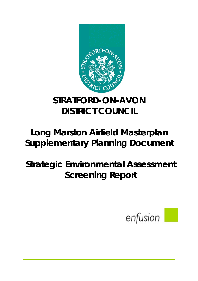

# **STRATFORD-ON-AVON DISTRICT COUNCIL**

# **Long Marston Airfield Masterplan Supplementary Planning Document**

# **Strategic Environmental Assessment Screening Report**

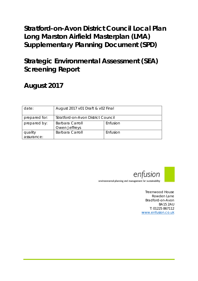# **Stratford-on-Avon District Council Local Plan** Long Marston Airfield Masterplan (LMA) **Supplementary Planning Document (SPD)**

# **Strategic Environmental Assessment (SEA) Screening Report**

# August 2017

| date:                 | August 2017 v01 Draft & v02 Final  |          |
|-----------------------|------------------------------------|----------|
| prepared for:         | Stratford-on-Avon District Council |          |
| prepared by:          | Barbara Carroll<br>Owen Jeffreys   | Enfusion |
| quality<br>assurance: | Barbara Carroll                    | Enfusion |



environmental planning and management for sustainability

Treenwood House Rowden Lane Bradford-on-Avon **BA15 2AU** T: 01225 867112 www.enfusion.co.uk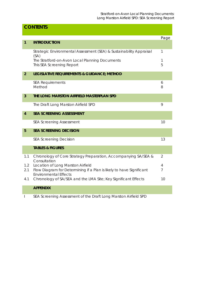# **CONTENTS**

|                |                                                                                | Page           |
|----------------|--------------------------------------------------------------------------------|----------------|
| $\overline{1}$ | <b>INTRODUCTION</b>                                                            |                |
|                |                                                                                |                |
|                | Strategic Environmental Assessment (SEA) & Sustainability Appraisal<br>(SA)    | 1              |
|                | The Stratford-on-Avon Local Planning Documents                                 | 1              |
|                | This SEA Screening Report                                                      | 5              |
|                |                                                                                |                |
| $\overline{2}$ | LEGISLATIVE REQUIREMENTS & GUIDANCE; METHOD                                    |                |
|                | <b>SEA Requirements</b>                                                        | 6              |
|                | Method                                                                         | 8              |
|                |                                                                                |                |
| 3              | THE LONG MARSTON AIRFIELD MASTERPLAN SPD                                       |                |
|                | The Draft Long Marston Airfield SPD                                            | 9              |
|                |                                                                                |                |
| $\overline{4}$ | <b>SEA SCREENING ASSESSMENT</b>                                                |                |
|                | <b>SEA Screening Assessment</b>                                                | 10             |
| 5              | <b>SEA SCREENING DECISION</b>                                                  |                |
|                | <b>SEA Screening Decision</b>                                                  | 13             |
|                | <b>TABLES &amp; FIGURES</b>                                                    |                |
|                |                                                                                |                |
| 1.1            | Chronology of Core Strategy Preparation, Accompanying SA/SEA &<br>Consultation | $\overline{2}$ |
| 1.2            | Location of Long Marston Airfield                                              | 4              |
| 2.1            | Flow Diagram for Determining if a Plan is likely to have Significant           | 7              |
|                | <b>Environmental Effects</b>                                                   |                |
| 4.1            | Chronology of SA/SEA and the LMA Site; Key Significant Effects                 | 10             |
|                | <b>APPENDIX</b>                                                                |                |
|                |                                                                                |                |
|                | SEA Screening Assessment of the Draft Long Marston Airfield SPD                |                |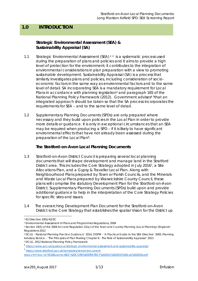## **1.0 INTRODUCTION**

#### **Strategic Environmental Assessment (SEA) & Sustainability Appraisal (SA)**

- 1.1 Strategic Environmental Assessment (SEA)<sup>12</sup> is a systematic process used during the preparation of plans and policies and it aims to provide a high level of protection for the environment; it contributes to the integration of environmental considerations in plan preparation with a view to promoting sustainable development. Sustainability Appraisal (SA) is a process that similarly investigates plans and policies, including consideration of socioeconomic factors in the same way as environmental factors and to the same level of detail. SA incorporating SEA is a mandatory requirement for Local Plans in accordance with planning legislation<sup>3</sup> and paragraph 165 of the National Planning Policy Framework (2012). Government advises<sup>4 5</sup>that an integrated approach should be taken so that the SA process incorporates the requirements for SEA – and to the same level of detail.
- 1.2 Supplementary Planning Documents (SPDs) are only prepared where necessary and they build upon policies in the Local Plan in order to provide more details or guidance. It is only in exceptional circumstances that an SEA may be required when producing a SPD – if it is likely to have significant environmental effects that have not already been assessed during the preparation of the Local Plan<sup>6</sup>.

#### **The Stratford-on-Avon Local Planning Documents**

- 1.3 Stratford-on-Avon District Council is preparing several local planning documents that will shape development and manage land in the Stratford District area. This includes the Core Strategy adopted in July 20167, a Site Allocations Plan, and a Gypsy & Traveller Local Plan. Along with Neighbourhood Plans prepared by Town or Parish Councils, and the Minerals and Waste Local Plans prepared by Warwickshire County Council, these plans will comprise the statutory Development Plan for the Stratford-on-Avon District. Supplementary Planning Documents (SPDs) build upon and provide additional guidance to help in the interpretation of the Core Strategy Policies for specific sites and issues.
- 1.4 The overarching Development Plan Document for the Stratford-on-Avon District is the Core Strategy that establishes the spatial Vision for the District up

<sup>7</sup> https://www.stratford.gov.uk/templates/server/document-

<sup>1</sup> EU Directive 2001/42/EC

<sup>2</sup> Environmental Assessment of Plans and Programmes Regulations, 2004

<sup>3</sup> Section 19(5) of the 2004 Act and Regulation 22(a) of the Town and Country Planning (Local Planning) (England) Regulations 2012

<sup>4</sup> DCLG - National Planning Practice Guidance' 2014, ODPM - 'A Practical Guide to the SEA Directive' 2005, Planning Advisory Service – 'The Principles of Plan Making Chapter 6 - The Role of Sustainability Appraisal' 2013

<sup>5</sup> DCLG, 2012 National Planning Policy Framework

<sup>6</sup> https://www.gov.uk/guidance/strategic-environmental-assessment-and-sustainability-appraisal

relay.cfm?doc=173518&name=SDC%20CORE%20STRATEGY%202011%202031%20July%202016.pdf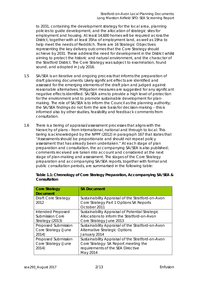to 2031, containing the development strategy for the local area, planning policies to guide development, and the allocation of strategic sites for employment and housing. At least 14,600 homes will be required across the District, together with at least 35ha of employment land, as well as 19ha to help meet the needs of Redditch. There are 16 Strategic Objectives representing the key delivery outcomes that the Core Strategy should achieve by 2031. These address the need for development in the District whilst aiming to protect the historic and natural environment, and the character of the Stratford District. The Core Strategy was subject to examination, found sound, and adopted in July 2016.

- 1.5 SA/SEA is an iterative and ongoing process that informs the preparation of draft planning documents. Likely significant effects are identified and assessed for the emerging elements of the draft plan and judged against reasonable alternatives. Mitigation measures are suggested for any significant negative effects identified. SA/SEA aims to provide a high level of protection for the environment and to promote sustainable development for planmaking. The role of SA/SEA is to inform the Council as the planning authority; the SA/SEA findings do not form the sole basis for decision-making – this is informed also by other studies, feasibility and feedback comments from consultation.
- 1.6 There is a tiering of appraisal/assessment processes that aligns with the hierarchy of plans – from international, national and through to local. This tiering is acknowledged by the NPPF (2012) in paragraph 167 that states that "*Assessments should be proportionate and should not repeat policy assessment that has already been undertaken*." At each stage of plan preparation and consultation, the accompanying SA/SEA is also published; comments received are taken into account and considered at the next stage of plan-making and assessment. The stages of the Core Strategy preparation and accompanying SA/SEA reports, together with formal and public consultation periods, are summarised in the following table:

| <b>Core Strategy</b><br><b>Document</b>                        | <b>SA Document</b>                                                                                                                         |
|----------------------------------------------------------------|--------------------------------------------------------------------------------------------------------------------------------------------|
| Draft Core Strategy<br>2012                                    | Sustainability Appraisal of the Stratford-on-Avon<br>Core Strategy Part 1 Options SA Reports<br>October 2011                               |
| Intended Proposed<br><b>Submission Core</b><br>Strategy (2013) | Sustainability Appraisal of Potential Strategic<br>Allocations to inform the Stratford-on-Avon<br>Core Strategy June 2013                  |
| Proposed Submission<br>Core Strategy (June<br>2014)            | Sustainability Appraisal of the Stratford-on-Avon<br>Alternative Strategic Options<br>January 2014                                         |
| Proposed Submission<br>Core Strategy (June<br>2014)            | Sustainability Appraisal of the Stratford-on-Avon<br>Core Strategy: SA Report meeting the<br>requirements of the SEA Directive<br>May 2014 |

| Table 1.1: Chronology of Core Strategy Preparation, Accompanying SA/SEA & |  |
|---------------------------------------------------------------------------|--|
| Consultation                                                              |  |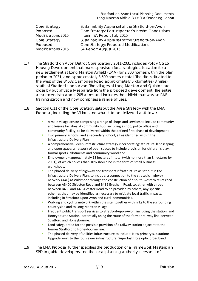| Core Strategy      | Sustainability Appraisal of the Stratford-on-Avon   |
|--------------------|-----------------------------------------------------|
| Proposed           | Core Strategy: Post Inspector's Interim Conclusions |
| Modifications 2015 | Interim SA Report July 2015                         |
| Core Strategy      | Sustainability Appraisal of the Stratford-on-Avon   |
| Proposed           | Core Strategy: Proposed Modifications               |
| Modifications 2015 | SA Report August 2015                               |
|                    |                                                     |

- 1.7 The Stratford on Avon District Core Strategy 2011-2031 includes Policy CS.16 Housing Development that makes provision for a strategic allocation for a new settlement at Long Marston Airfield (LMA) for 2,300 homes within the plan period to 2031, and approximately 3,500 homes in total. The site is situated to the west of the B4632 Campden Road approximately 5 kilometres (3 miles) south of Stratford-upon-Avon. The villages of Long Marston and Quinton are close by but physically separate from the proposed development. The entire area extends to about 205 acres and includes the airfield that was an RAF training station and now comprises a range of uses.
- 1.8 Section 6.11 of the Core Strategy sets out the Area Strategy with the LMA Proposal, including the Vision, and what is to be delivered as follows:
	- A main village centre comprising a range of shops and services to include community and leisure facilities. A community hub, including a shop, police office and community facility, to be delivered within the defined first phase of development
	- Two primary schools, and a secondary school, all as identified within the Infrastructure Delivery Plan
	- A comprehensive Green Infrastructure strategy incorporating: structural landscaping and open space; a network of open spaces to include provision for children's play, formal sports, allotments and community woodland.
	- Employment approximately 13 hectares in total (with no more than 8 hectares by 2031), of which no less than 10% should be in the form of small business workshops.
	- The phased delivery of highway and transport infrastructure as set out in the Infrastructure Delivery Plan, to include: a connection to the strategic highway network (A46) at Wildmoor through the construction of a south‐western relief road between A3400 Shipston Road and B439 Evesham Road, together with a road between B439 and A46 Alcester Road to be provided by others; any specific schemes that may be identified as necessary to mitigate local traffic impacts, including in Stratford‐upon‐Avon and rural communities.
	- Walking and cycling network within the site, together with links to the surrounding countryside and to Long Marston village.
	- Frequent public transport services to Stratford‐upon‐Avon, including the station, and Honeybourne Station, potentially using the route of the former railway line between Stratford and Honeybourne.
	- Land safeguarded for the possible provision of a railway station adjacent to the former Stratford to Honeybourne line.
	- The phased delivery of utilities infrastructure to include: New primary substation; Upgrade work to the foul sewer infrastructure; Superfast fibre optic broadband
- 1.9 The LMA Proposal further specifies the production of a Framework Masterplan SPD to guide developers and the local planning authority in respect of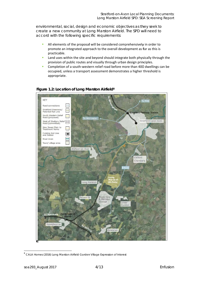environmental, social, design and economic objectives as they seek to create a new community at Long Marston Airfield. The SPD will need to accord with the following specific requirements:

- All elements of the proposal will be considered comprehensively in order to promote an integrated approach to the overall development as far as this is practicable.
- Land uses within the site and beyond should integrate both physically through the provision of public routes and visually through urban design principles.
- Completion of a south-western relief road before more than 400 dwellings can be m. occupied, unless a transport assessment demonstrates a higher threshold is appropriate.



#### Figure 1.2: Location of Long Marston Airfield<sup>8</sup>

<sup>&</sup>lt;sup>8</sup> CALA Homes (2016) Long Marston Airfield Garden Village Expression of Interest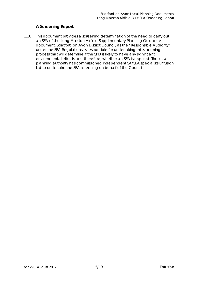### **A Screening Report**

1.10 This document provides a screening determination of the need to carry out an SEA of the Long Marston Airfield Supplementary Planning Guidance document. Stratford on Avon District Council, as the "Responsible Authority" under the SEA Regulations, is responsible for undertaking this screening process that will determine if the SPD is likely to have any significant environmental effects and therefore, whether an SEA is required. The local planning authority has commissioned independent SA/SEA specialists Enfusion Ltd to undertake the SEA screening on behalf of the Council.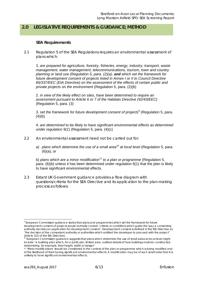## **2.0 LEGISLATIVE REQUIREMENTS & GUIDANCE; METHOD**

#### **SEA Requirements**

2.1 Regulation 5 of the SEA Regulations requires an environmental assessment of plans which:

1. *are prepared for agriculture, forestry, fisheries, energy, industry, transport, waste management, water management, telecommunications, tourism, town and country planning or land use (Regulation 5, para. (2)(a), and which set the framework for future development consent of projects listed in Annex I or II to Council Directive 85/337/EEC (EIA Directive) on the assessment of the effects of certain public and private projects on the environment* (Regulation 5, para. (2)(b)

2. *in view of the likely effect on sites, have been determined to require an assessment pursuant to Article 6 or 7 of the Habitats Directive (92/43/EEC)* (Regulation 5, para. (3)

3. *set the framework for future development consent of projects*<sup>9</sup> (Regulation 5, para.  $(4)(b)$ 

4. *are determined to be likely to have significant environmental effects as determined under regulation 9(1*) (Regulation 5, para. (4)(c)

- 2.2 An environmental assessment need not be carried out for:
	- a) *plans which determine the use of a small area10 at local level* (Regulation 5, para. (6)(a); or

b) *plans which are a minor modification11 to a plan or programme* (Regulation 5, para. (6)(b) unless it has been determined under regulation 9(1) that the plan is likely to have significant environmental effects.

2.3 Extant UK Government guidance provides a flow diagram with questions/criteria for the SEA Directive and its application to the plan-making process as follows:

 <sup>9</sup> European Commission guidance states that plans and programmes which *set the framework for future development consent of projects* would normally contain 'criteria or conditions which guide the way a consenting authority decides an application for development consent'. *Development consent* is defined in the EIA Directive as "the decision of the competent authority or authorities which entitled the developer to proceed with the project" (Article 1(2) of the EIA Directive).

<sup>10</sup> European Commission guidance suggests that *plans which determine the use of small areas at local level* might include "a building plan which, for a particular, limited area, outlines details of how buildings must be constructed, determining, for example, their height, width or design"

<sup>11 &#</sup>x27;*Minor modifications'* should be considered in the context of the plan or programme which is being modified and of the likelihood of their having significant environmental effects. A modification may be of such small order that it is unlikely to have significant environmental effects.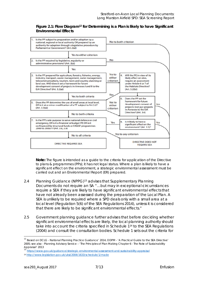#### Figure 2.1: Flow Diagram<sup>12</sup> for Determining is a Plan is likely to have Significant **Environmental Effects**



Note: The figure is intended as a guide to the criteria for application of the Directive to plans & programmes (PPs); it has not legal status. Where a plan is likely to have a significant effect on the environment, a strategic environmental assessment must be carried out and an Environmental Report (ER) prepared.

- Planning Guidance (NPPG)<sup>13</sup> advises that Supplementary Planning  $2.4$ Documents do not require an SA "...but may in exceptional circumstances require a SEA if they are likely to have significant environmental effects that have not already been assessed during the preparation of the Local Plan. A SEA is unlikely to be required where a SPD deals only with a small area at a local level (Regulation 5(6) of the SEA Regulations 2014), unless it is considered that there are likely to be significant environmental effects."
- $2.5$ Government planning quidance further advises that before deciding whether significant environmental effects are likely, the local planning authority should take into account the criteria specified in Schedule 1<sup>14</sup> to the SEA Regulations (2004) and consult the consultation bodies. Schedule 1 sets out the criteria for

<sup>&</sup>lt;sup>12</sup> Based on DCLG - National Planning Practice Guidance' 2014, ODPM - 'A Practical Guide to the SEA Directive' 2005: see also - Planning Advisory Service - 'The Principles of Plan Making Chapter 6 - The Role of Sustainability Appraisal' 2013

<sup>13&</sup>lt;sup>"</sup>https://www.qov.uk/quidance/strategic-environmental-assessment-and-sustainability-appraisal

<sup>14</sup> http://www.legislation.gov.uk/uksi/2004/1633/schedule/1/made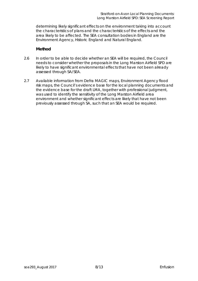determining likely significant effects on the environment taking into account the characteristics of plans and the characteristics of the effects and the area likely to be affected. The SEA consultation bodies in England are the Environment Agency, Historic England and Natural England.

#### **Method**

- 2.6 In order to be able to decide whether an SEA will be required, the Council needs to consider whether the proposals in the Long Marston Airfield SPD are likely to have significant environmental effects that have not been already assessed through SA/SEA.
- 2.7 Available information from Defra MAGIC maps, Environment Agency flood risk maps, the Council's evidence base for the local planning documents and the evidence base for the draft LMA, together with professional judgment, was used to identify the sensitivity of the Long Marston Airfield area environment and whether significant effects are likely that have not been previously assessed through SA, such that an SEA would be required.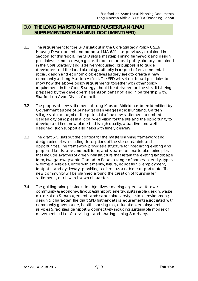## **3.0 THE LONG MARSTON AIRFIELD MASTERPLAN (LMA) SUPPLEMENTARY PLANNING DOCUMENT (SPD)**

- 3.1 The requirement for the SPD is set out in the Core Strategy Policy CS.16 Housing Development and proposal LMA 6.11 – as previously explained in Section 1of this report. The SPD sets a masterplanning framework and design principles; it is not a design guide. It does not repeat policy already contained in the Core Strategy and is delivery-focussed. Its purpose is to guide developers and the local planning authority in respect of environmental, social, design and economic objectives as they seek to create a new community at Long Marston Airfield. The SPD will set out broad principles to show how the above policy requirements, together with other policy requirements in the Core Strategy, should be delivered on the site. It is being prepared by the developers' agents on behalf of, and in partnership with, Stratford-on-Avon District Council.
- 3.2 The proposed new settlement at Long Marston Airfield has been identified by Government as one of 14 new garden villages across England. Garden Village status recognises the potential of the new settlement to embed garden city principles in a locally-led vision for the site and the opportunity to develop a distinct new place that is high quality, attractive and well designed; such support also helps with timely delivery.
- 3.3 The draft SPD sets out the context for the masterplanning framework and design principles, including descriptions of the site constraints and opportunities. The framework provides a structure for integrating existing and proposed landscape and built form, and is based on masterplan principles that include swathes of green infrastructure that retain the existing landscape form, two gateways onto Campden Road, a range of homes – density, types & forms, a Village Centre with amenity, leisure, education & employment, footpaths and cycleways providing a direct sustainable transport route. The new community will be planned around the creation of four smaller settlements, each with its own character.
- 3.4 The guiding principles include objectives covering aspects as follows: community & economy; layout &transport; energy; sustainable design; waste minimisation & management; landscape; biodiversity; historic environment; design & character. The draft SPD further details requirements associated with community governance, health, housing mix, education, employment, services & facilities, transport & connectivity including sustainable modes of movement, utilities & servicing – and phasing, timing & delivery.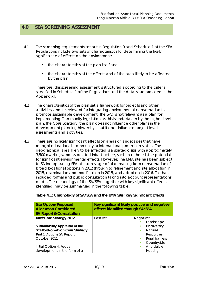### **4.0 SEA SCREENING ASSESSMENT**

- 4.1 The screening requirements set out in Regulation 9 and Schedule 1 of the SEA Regulations include two sets of characteristics for determining the likely significance of effects on the environment:
	- the characteristics of the plan itself and
	- the characteristics of the effects and of the area likely to be affected by the plan

Therefore, this screening assessment is structured according to the criteria specified in Schedule 1 of the Regulations and the details are provided in the Appendix I.

- 4.2 The characteristics of the plan set a framework for projects and other activities; and it is relevant for integrating environmental consideration to promote sustainable development. The SPD is not relevant as a plan for implementing Community legislation as this is undertaken by the higher-level plan, the Core Strategy; the plan does not influence other plans in the development planning hierarchy – but it does influence project level assessments and activities.
- 4.3 There are no likely significant effects on areas or landscapes that have recognised national, community or international protection status. The geographical area likely to be affected is a strategic size with approximately 3,500 dwellings and associated infrastructure, such that there is the potential for significant environmental effects. However, The LMA site has been subject to SA incorporating SEA at each stage of plan-making from consideration of broad locational options in 2012 through to refinement and site allocation in 2015, examination and modification in 2015, and adoption in 2016. This has included formal and public consultation taking into account representations made. The chronology of the SA/SEA, together with key significant effects identified, may be summarised in the following table:

| <b>Site Option/Proposed</b><br><b>Allocation Considered:</b><br><b>SA Report &amp; Consultation</b> | Key significant likely positive and negative<br>effects identified through SA/SEA |                     |
|-----------------------------------------------------------------------------------------------------|-----------------------------------------------------------------------------------|---------------------|
| Draft Core Strategy 2012                                                                            | Positive:                                                                         | Negative:           |
|                                                                                                     |                                                                                   | Landscape           |
| Sustainability Appraisal of the                                                                     |                                                                                   | Biodiversity<br>п   |
| Stratford-on-Avon Core Strategy                                                                     |                                                                                   | Natural<br>п        |
| <b>Part 1 Options SA Report</b>                                                                     |                                                                                   | Resources           |
| October 2011                                                                                        |                                                                                   | Rural barriers<br>٠ |
|                                                                                                     |                                                                                   | Countryside<br>п    |
| Initial Option 4: Focus                                                                             |                                                                                   | Affordable<br>п     |
| development in the form of a                                                                        |                                                                                   | Housina             |

#### **Table 4.1: Chronology of SA/SEA and the LMA Site; Key Significant Effects**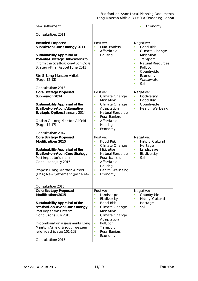| new settlement                                                                                                                                                                                                                                                                         |                                                                                                                                                                                                                        | Economy                                                                                                                                                                                                                         |
|----------------------------------------------------------------------------------------------------------------------------------------------------------------------------------------------------------------------------------------------------------------------------------------|------------------------------------------------------------------------------------------------------------------------------------------------------------------------------------------------------------------------|---------------------------------------------------------------------------------------------------------------------------------------------------------------------------------------------------------------------------------|
| Consultation: 2011                                                                                                                                                                                                                                                                     |                                                                                                                                                                                                                        |                                                                                                                                                                                                                                 |
| <b>Intended Proposed</b><br><b>Submission Core Strategy 2013</b><br>Sustainability Appraisal of<br>Potential Strategic Allocations to<br>inform the Stratford-on-Avon Core<br>Strategy-Final Report June 2013<br>Site 5- Long Marston Airfield<br>(Page 12-13)<br>Consultation: 2013   | Positive:<br><b>Rural Barriers</b><br>Ľ,<br>Affordable<br>Ľ,<br>Housing                                                                                                                                                | Negative:<br><b>Flood Risk</b><br>Ľ,<br>Climate Change<br>٠<br>Mitigation<br>Transport<br>$\blacksquare$<br><b>Natural Resources</b><br>٠<br>Pollution<br>٠<br>Countryside<br>٠<br>Economy<br>٠<br>Wastewater<br>٠<br>Soil<br>٠ |
| <b>Core Strategy Proposed</b>                                                                                                                                                                                                                                                          | Positive:                                                                                                                                                                                                              | Negative:                                                                                                                                                                                                                       |
| Submission 2014<br>Sustainability Appraisal of the<br><b>Stratford-on-Avon Alternative</b><br><b>Strategic Options January 2014</b><br>Option C- Long Marston Airfield<br>(Page 14-17)                                                                                                 | Climate Change<br>Mitigation<br>Climate Change<br>Ľ,<br>Adaptation<br><b>Natural Resource</b><br>Ľ,<br><b>Rural Barriers</b><br>Ľ,<br>Affordable<br>ш<br>Housing<br>Economy<br>Ľ,                                      | Biodiversity<br>Ľ,<br><b>Flood Risk</b><br>Ù,<br>Countryside<br>×<br>Health, Wellbeing<br>×                                                                                                                                     |
| Consultation: 2014                                                                                                                                                                                                                                                                     |                                                                                                                                                                                                                        |                                                                                                                                                                                                                                 |
| <b>Core Strategy Proposed</b><br><b>Modifications 2015</b><br>Sustainability Appraisal of the<br>Stratford-on-Avon Core Strategy:<br>Post Inspector's Interim<br>Conclusions July 2015<br>Proposal Long Marston Airfield<br>(LMA) New Settlement (page 44-<br>50)<br>Consultation 2015 | Positive:<br><b>Flood Risk</b><br>×<br>Climate Change<br>Ľ,<br>Mitigation<br><b>Natural Resource</b><br>×<br><b>Rural barriers</b><br>×<br>Affordable<br>×<br>Housing<br>Health, Wellbeing<br>a,<br>Economy<br>×       | Negative:<br>History, Cultural<br>Ľ,<br>Heritage<br>Landscape<br>$\blacksquare$<br>Biodiversity<br>$\blacksquare$<br>Soil<br>٠                                                                                                  |
| <b>Core Strategy Proposed</b>                                                                                                                                                                                                                                                          | Positive:                                                                                                                                                                                                              | Negative:                                                                                                                                                                                                                       |
| <b>Modifications 2015</b><br>Sustainability Appraisal of the<br>Stratford-on-Avon Core Strategy:<br>Post Inspector's Interim<br>Conclusions July 2015<br>In-combination assessments: Long<br>Marston Airfield & south western<br>relief road (page 101-102)                            | Landscape<br>Biodiversity<br>п<br><b>Flood Risk</b><br>×<br>Climate Change<br>п<br>Mitigation<br>Climate Change<br>a,<br>Adaptation<br>Pollution<br>п<br>Transport<br>п<br><b>Rural Barriers</b><br>×<br>Economy<br>a, | Countryside<br>History, Cultural<br>п<br>Heritage<br>Soil<br>п                                                                                                                                                                  |
| Consultation: 2015                                                                                                                                                                                                                                                                     |                                                                                                                                                                                                                        |                                                                                                                                                                                                                                 |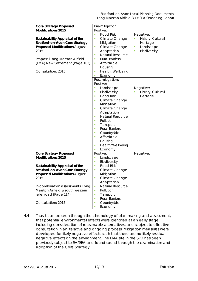| <b>Core Strategy Proposed</b><br><b>Modifications 2015</b><br>Sustainability Appraisal of the<br>Stratford-on-Avon Core Strategy:<br><b>Proposed Modifications August</b>                                             | Pre-mitigation:<br>Positive:<br><b>Flood Risk</b><br>E<br>Climate Change<br>п<br>Mitigation<br>Climate Change<br>ш                                                                                                                                                                                                                                                                 | Negative:<br>History, Cultural<br>Heritage<br>Landscape<br>× |
|-----------------------------------------------------------------------------------------------------------------------------------------------------------------------------------------------------------------------|------------------------------------------------------------------------------------------------------------------------------------------------------------------------------------------------------------------------------------------------------------------------------------------------------------------------------------------------------------------------------------|--------------------------------------------------------------|
| 2015<br>Proposal Long Marston Airfield<br>(LMA) New Settlement (Page 103)<br>Consultation: 2015                                                                                                                       | Adaptation<br><b>Natural Resource</b><br>Ľ,<br><b>Rural Barriers</b><br>п<br>Affordable<br>ш<br>Housing<br>Health, Wellbeing<br>×                                                                                                                                                                                                                                                  | Biodiversity<br>п                                            |
|                                                                                                                                                                                                                       | Economy<br>Ľ,<br>Post-mitigation:<br>Positive:<br>Landscape<br>п<br>Biodiversity<br>×<br><b>Flood Risk</b><br>п<br>Climate Change<br>ш<br>Mitigation<br>Climate Change<br>п<br>Adaptation<br><b>Natural Resource</b><br>٠<br>Pollution<br>п<br>Transport<br>п<br><b>Rural Barriers</b><br>Ľ,<br>Countryside<br>ш<br>Affordable<br>٠<br>Housing<br>Health/Wellbeing<br>×<br>Economy | Negative:<br>History, Cultural<br>Heritage                   |
| <b>Core Strategy Proposed</b><br><b>Modifications 2015</b>                                                                                                                                                            | Positive:<br>Landscape<br>Ľ,<br>Biodiversity<br>×                                                                                                                                                                                                                                                                                                                                  | Negative:                                                    |
| Sustainability Appraisal of the<br>Stratford-on-Avon Core Strategy:<br><b>Proposed Modifications August</b><br>2015<br>In-combination assessments: Long<br>Marston Airfield & south western<br>relief road (Page 114) | <b>Flood Risk</b><br>٠<br>Climate Change<br>п<br>Mitigation<br>Climate Change<br>Ľ,<br>Adaptation<br>Natural Resource<br>Ù,<br>Pollution<br>ш<br>ш                                                                                                                                                                                                                                 |                                                              |
| Consultation: 2015                                                                                                                                                                                                    | Transport<br><b>Rural Barriers</b><br>Ľ,<br>Countryside<br>×<br>Economy<br>×                                                                                                                                                                                                                                                                                                       |                                                              |

4.4 Thus it can be seen through the chronology of plan-making and assessment, that potential environmental effects were identified at an early stage, including consideration of reasonable alternatives, and subject to effective consultation in an iterative and ongoing process. Mitigation measures were developed for likely negative effects such that there are no likely residual negative effects on the environment. The LMA site in the SPD has been previously subject to SA/SEA and found sound through the examination and adoption of the Core Strategy.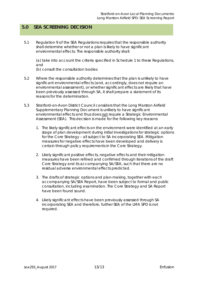## **5.0 SEA SCREENING DECISION**

5.1 Regulation 9 of the SEA Regulations requires that the responsible authority shall determine whether or not a plan is likely to have significant environmental effects. The responsible authority shall:

(a) take into account the criteria specified in Schedule 1 to these Regulations, and

(b) consult the consultation bodies

- 5.2 Where the responsible authority determines that the plan is unlikely to have significant environmental effects (and, accordingly, does not require an environmental assessment), or whether significant effects are likely that have been previously assessed through SA, it shall prepare a statement of its reasons for the determination.
- 5.3 Stratford-on-Avon District Council considers that the Long Marston Airfield Supplementary Planning Document is unlikely to have significant environmental effects and thus does not require a Strategic Environmental Assessment (SEA). This decision is made for the following key reasons:
	- 1. The likely significant effects on the environment were identified at an early stage of plan development during initial investigations for strategic options for the Core Strategy – all subject to SA incorporating SEA. Mitigation measures for negative effects have been developed and delivery is certain through policy requirements in the Core Strategy.
	- 2. Likely significant positive effects, negative effects and their mitigation measures have been refined and confirmed through iterations of the draft Core Strategy and its accompanying SA/SEA, such that there are no residual adverse environmental effects predicted.
	- 3. The drafts of strategic options and plan-making, together with each accompanying SA/SEA Report, have been subject to formal and public consultation, including examination. The Core Strategy and SA Report have been found sound.
	- 4. Likely significant effects have been previously assessed through SA incorporating SEA and therefore, further SEA of the LMA SPD is not required.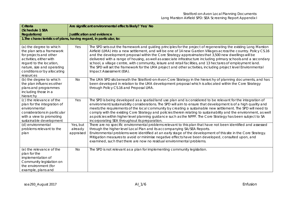| <b>Criteria</b>                                                                                                                                                                                                | Are significant environmental effects likely? Yes/ No |                                                                                                                                                                                                                                                                                                                                                                                                                                                                                                                                                                                                                                                                                                                              |
|----------------------------------------------------------------------------------------------------------------------------------------------------------------------------------------------------------------|-------------------------------------------------------|------------------------------------------------------------------------------------------------------------------------------------------------------------------------------------------------------------------------------------------------------------------------------------------------------------------------------------------------------------------------------------------------------------------------------------------------------------------------------------------------------------------------------------------------------------------------------------------------------------------------------------------------------------------------------------------------------------------------------|
| (Schedule 1 SEA<br><b>Regulations)</b>                                                                                                                                                                         | <b>Justification and evidence</b>                     |                                                                                                                                                                                                                                                                                                                                                                                                                                                                                                                                                                                                                                                                                                                              |
| 1. The characteristics of plans, having regard, in particular, to:                                                                                                                                             |                                                       |                                                                                                                                                                                                                                                                                                                                                                                                                                                                                                                                                                                                                                                                                                                              |
|                                                                                                                                                                                                                |                                                       |                                                                                                                                                                                                                                                                                                                                                                                                                                                                                                                                                                                                                                                                                                                              |
| (a) the degree to which<br>the plan sets a framework<br>for projects and other<br>activities, either with<br>regard to the location,<br>nature, size and operating<br>conditions or by allocating<br>resources | Yes                                                   | The SPD sets out the framework and guiding principles for the project of regenerating the existing Long Marston<br>Airfield (LMA) into a new settlement, and will be one of 14 new Garden Villages across the country. Policy CS.16<br>and the development proposal within the Core Strategy approximates that 3,500 new dwellings will be<br>delivered with a range of housing, as well as associate infrastructure including primary schools and a secondary<br>school, a village centre, with community, leisure and retail facilities, and 13 hectares of employment land.<br>The SPD will set the framework for the LMA project and other activities, including project level Environmental<br>Impact Assessment (EIA). |
| (b) the degree to which<br>the plan influences other<br>plans and programmes<br>including those in a<br>hierarchy                                                                                              | No                                                    | The LMA SPD sits beneath the Stratford-on-Avon Core Strategy in the hierarchy of planning documents, and has<br>been developed in relation to the LMA development proposal which is allocated within the Core Strategy<br>through Policy CS.16 and Proposal LMA.                                                                                                                                                                                                                                                                                                                                                                                                                                                             |
| (c) the relevance of the<br>plan for the integration of<br>environmental<br>considerations in particular<br>with a view to promoting<br>sustainable development                                                | Yes                                                   | The SPD is being developed as a spatial/land use plan and is considered to be relevant for the integration of<br>environment/sustainability considerations. The SPD will aim to ensure that development is of a high quality and<br>meets the requirements of the local community by creating a sustainable new settlement. The SPD will need to<br>comply with the existing Core Strategy and policies therein relating to sustainability and the environment, as well<br>as policies within higher level planning guidance such as the NPPF. The Core Strategy has been subject to SA<br>incorporating SEA throughout its preparation.                                                                                     |
| (d) environmental<br>problems relevant to the<br>plan                                                                                                                                                          | Yes, but<br>already<br>appraised                      | There are no specific environmental problems relevant to this plan that have not been identified and assessed<br>through the higher level Local Plan and its accompanying SA/SEA Reports.<br>Environmental problems were identified at an early stage of the development of this site in the Core Strategy.<br>Mitigation measures to avoid or minimise negative effects have been developed, consulted upon, and<br>examined, such that there are now no residual environmental problems.                                                                                                                                                                                                                                   |
| (e) the relevance of the<br>plan for the<br>implementation of<br>Community legislation on<br>the environment (for<br>example, plans and                                                                        | No                                                    | The SPD is not relevant as a plan for implementing community legislation.                                                                                                                                                                                                                                                                                                                                                                                                                                                                                                                                                                                                                                                    |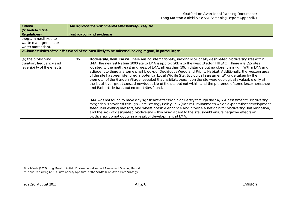| <b>Criteria</b>                                                                 | Are significant environmental effects likely? Yes/ No                                                                                                                                                                                                                                                                                                                                                                                                                                                                                                                                                                                                                                                                                                                                                                                                                                              |
|---------------------------------------------------------------------------------|----------------------------------------------------------------------------------------------------------------------------------------------------------------------------------------------------------------------------------------------------------------------------------------------------------------------------------------------------------------------------------------------------------------------------------------------------------------------------------------------------------------------------------------------------------------------------------------------------------------------------------------------------------------------------------------------------------------------------------------------------------------------------------------------------------------------------------------------------------------------------------------------------|
| (Schedule 1 SEA<br><b>Regulations)</b>                                          | <b>Justification and evidence</b>                                                                                                                                                                                                                                                                                                                                                                                                                                                                                                                                                                                                                                                                                                                                                                                                                                                                  |
| programmes linked to<br>waste management or<br>water protection).               |                                                                                                                                                                                                                                                                                                                                                                                                                                                                                                                                                                                                                                                                                                                                                                                                                                                                                                    |
|                                                                                 | 2. Characteristics of the effects and of the area likely to be affected, having regard, in particular, to:                                                                                                                                                                                                                                                                                                                                                                                                                                                                                                                                                                                                                                                                                                                                                                                         |
| (a) the probability,<br>duration, frequency and<br>reversibility of the effects | Biodiversity, Flora, Fauna: There are no internationally, nationally or locally designated biodiversity sites within<br>No<br>LMA. The nearest Natura 2000 site to LMA is approx. 20km to the west (Bredon Hill SAC). There are SSSI sites<br>located to the north, east and west of LMA, all less than 10km distance but no closer than 4km. Within LMA and<br>adjacent to there are some small blocks of Deciduous Woodland Priority Habitat. Additionally, the western area<br>of the site has been identified a potential Local Wildlife Site. Ecological assessments <sup>15</sup> undertaken by the<br>promotor of the Garden Village revealed that habitats present on the site were ecologically valuable only at<br>the local level; great crested newts outside of the site but not within, and the presence of some lesser horseshoe<br>and Barbastelle bats, but no roost sites found. |
|                                                                                 | LMA was not found to have any significant effects on biodiversity through the SA/SEA assessment <sup>16</sup> . Biodiversity<br>mitigation is provided through Core Strategy Policy CS.6 (Natural Environment) which expects that development<br>safeguard existing habitats, and where possible enhance and provide a net gain for biodiversity. This mitigation,<br>and the lack of designated biodiversity within or adjacent to the site, should ensure negative effects on<br>biodiversity do not occur as a result of development at LMA.                                                                                                                                                                                                                                                                                                                                                    |

<sup>15</sup> Lichfields (2017) Long Marston Airfield Environmental Impact Assessment Scoping Report

<sup>16</sup> Lepus Consulting (2015) Sustainability Appraisal of the Stratford-on-Avon Core Strategy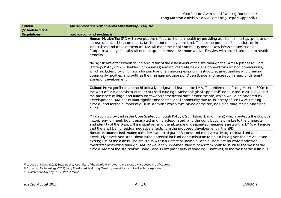| Criteria            | Are significant environmental effects likely? Yes/ No                                                                                                                                                                                                                                                                                                                                                                                                                                                                                                                                                   |
|---------------------|---------------------------------------------------------------------------------------------------------------------------------------------------------------------------------------------------------------------------------------------------------------------------------------------------------------------------------------------------------------------------------------------------------------------------------------------------------------------------------------------------------------------------------------------------------------------------------------------------------|
| (Schedule 1 SEA     |                                                                                                                                                                                                                                                                                                                                                                                                                                                                                                                                                                                                         |
| <b>Regulations)</b> | <b>Justification and evidence</b>                                                                                                                                                                                                                                                                                                                                                                                                                                                                                                                                                                       |
|                     | Human Health: The SPD will have positive effects on human health by providing additional housing, sports and<br>recreational facilities, community facilities and employment land. There is the potential for a reduction in<br>inequalities and development at LMA will meet the local community needs. New infrastructure, such as<br>footpaths and cycle paths will encourage residents to live more active lifestyles, with associated human health<br>benefits.                                                                                                                                    |
|                     | No significant effects were found as a result of the assessment of the site through the SA/SEA process <sup>17</sup> . Core<br>Strategy Policy CS.25 (Healthy Communities) aims to integrate new development with existing communities,<br>which includes providing new infrastructure or enhancing existing infrastructure, safeguarding and creating<br>community facilities, and outlines the minimum provisions of Open Space and recreation areas for different<br>scales of development.                                                                                                          |
|                     | Cultural Heritage: There are no historically designated features on LMA. The settlement of Long Marston 600m to<br>the west of LMA contains a number of Listed Buildings. Archaeological appraisal <sup>18</sup> conducted in 2014 revealed<br>the presence of ridge and furrow earthworks of medieval date across the site, which would be affected by<br>development. LMA has cultural significance for the local community due to its' history of use (WWII training<br>airfield) and for the number of cultural activities which take place at the site, including drag racing and flying<br>clubs. |
|                     | Mitigation is provided in the Core Strategy through Policy CS.8 (Historic Environment) which protects the District's<br>historic environment, both designated and non-designated, and the contributions it makes to the character<br>and identity of the District. This mitigation, and the absence of designated heritage assets within LMA, will ensure<br>that there will be no residual negative effects from the proposed development in the SPD.                                                                                                                                                  |
|                     | Natural resources (soil, water, air): LMA is a mix of grade 3b best and most versatile agricultural land and<br>previously developed land. There is the potential for land contamination to be an issue given the previous and<br>existing use of the airfield. The site is also within a Nitrate Vulnerable Zone <sup>19</sup> . There are no waterbodies or<br>rivers/streams flowing through LMA, however an unnamed stream flows from north to south to the west of the                                                                                                                             |
|                     | airfield. Most of the site is within Flood Zone 1 (low probability of flooding), However, to the west of the airfield is                                                                                                                                                                                                                                                                                                                                                                                                                                                                                |

<sup>17</sup> Lepus Consulting (2015) Sustainability Appraisal of the Stratford-on-Avon Core Strategy: Proposed Modifications

<sup>18</sup> Cotswold Archaeology (2014) Long Marston Airfield Long Marston, Warwickshire: Initial Heritage Appraisal

<sup>19</sup> Environment Agency (2017) WIYBY maps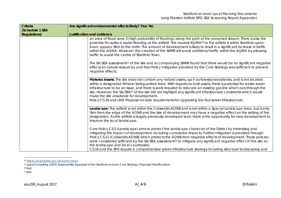| Criteria                               | Are significant environmental effects likely? Yes/ No                                                                                                                                                                                                                                                                                                                                                                                                                                                                                                                                                                                                                                                                                                                                   |  |
|----------------------------------------|-----------------------------------------------------------------------------------------------------------------------------------------------------------------------------------------------------------------------------------------------------------------------------------------------------------------------------------------------------------------------------------------------------------------------------------------------------------------------------------------------------------------------------------------------------------------------------------------------------------------------------------------------------------------------------------------------------------------------------------------------------------------------------------------|--|
| (Schedule 1 SEA<br><b>Regulations)</b> | <b>Justification and evidence</b>                                                                                                                                                                                                                                                                                                                                                                                                                                                                                                                                                                                                                                                                                                                                                       |  |
|                                        | an area of flood zone 3 (high probability of flooding) along the path of the unnamed stream. There is also the<br>potential for surface water flooding at the airfield. The nearest AQMA <sup>20</sup> to the airfield is within Stratford-upon-<br>Avon, approx. 9km to the north. The amount of development is likely to result in a significant increase in traffic<br>within the AQMA. However, the creation of the SWRR will avoid additional traffic within the AQMA by allowing<br>traffic to avoid the centre of Stratford Town.<br>The SA/SEA assessment <sup>21</sup> of the site and accompanying SWRR found that there would be no significant negative<br>effects on natural resources, and that Policy mitigation provided by the Core Strategy was sufficient to prevent |  |
|                                        | negative effects.                                                                                                                                                                                                                                                                                                                                                                                                                                                                                                                                                                                                                                                                                                                                                                       |  |
|                                        | Material Assets: The site does not contain any natural assets, such as forestry/woodlands, and is not located<br>within a designated Mineral Safeguarded Area. With regards to built assets, there is potential for waste water<br>infrastructure to be an issue, and there is work required to relocate an existing gas line which runs through the<br>site. However, the SA/SEA <sup>22</sup> of the site did not highlight any significant infrastructure constraints which would<br>make the site unsuitable for development.<br>Policy CS.16 and LMA Proposal include requirements for upgrading the foul sewer infrastructure.                                                                                                                                                    |  |
|                                        | Landscape: The airfield is not within the Cotswolds AONB and is not within a Special Landscape Area, but is only<br>3km from the edge of the AONB and the size of development may have a negative effect on the setting of the<br>designation. As the airfield is largely previously developed land, there is the opportunity for new development to<br>improve the local landscape.                                                                                                                                                                                                                                                                                                                                                                                                    |  |
|                                        | Core Policy CS.5 (Landscape) aims to protect the landscape character of the District by minimising and<br>mitigating the impact of development, including cumulative impacts. Further mitigation is provided through<br>Policy CS.11 (Cotswolds AONB) which protects the AONB from negative effects of development. These policies<br>were considered sufficient by the SA/SEA assessment <sup>23</sup> to mitigate any significant negative effect of the site on<br>the landscape and local countryside.<br>CS.16 and the SPD require a comprehensive green infrastructure strategy including structural landscaping and                                                                                                                                                              |  |

<sup>20</sup> https://uk-air.defra.gov.uk/aqma/maps

<sup>21</sup> Lepus Consulting (2015) Sustainability Appraisal of the Stratford-on-Avon Core Strategy: Proposed Modifications

<sup>22</sup> Ibid.

<sup>23</sup> Ibid.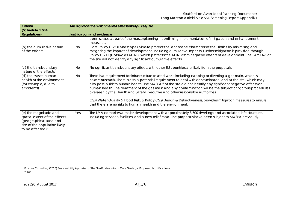| Criteria<br>(Schedule 1 SEA<br><b>Regulations)</b>                                                                                    | Are significant environmental effects likely? Yes/ No<br><b>Justification and evidence</b> |                                                                                                                                                                                                                                                                                                                                                                                                                                                                                                                                                                                                                                                                                                                                                |
|---------------------------------------------------------------------------------------------------------------------------------------|--------------------------------------------------------------------------------------------|------------------------------------------------------------------------------------------------------------------------------------------------------------------------------------------------------------------------------------------------------------------------------------------------------------------------------------------------------------------------------------------------------------------------------------------------------------------------------------------------------------------------------------------------------------------------------------------------------------------------------------------------------------------------------------------------------------------------------------------------|
|                                                                                                                                       |                                                                                            | open space as part of the masterplanning - confirming implementation of mitigation and enhancement<br>measures.                                                                                                                                                                                                                                                                                                                                                                                                                                                                                                                                                                                                                                |
| (b) the cumulative nature<br>of the effects                                                                                           | No.                                                                                        | Core Policy CS.5 (Landscape) aims to protect the landscape character of the District by minimising and<br>mitigating the impact of development, including cumulative impacts. Further mitigation is provided through<br>Policy CS.11 (Cotswolds AONB) which protects the AONB from negative effects of development. The SA/SEA <sup>24</sup> of<br>the site did not identify any significant cumulative effects.                                                                                                                                                                                                                                                                                                                               |
| (c) the transboundary<br>nature of the effects                                                                                        | <b>No</b>                                                                                  | No significant transboundary effects with other EU countries are likely from the proposals.                                                                                                                                                                                                                                                                                                                                                                                                                                                                                                                                                                                                                                                    |
| (d) the risks to human<br>health or the environment<br>(for example, due to<br>accidents)                                             | No                                                                                         | There is a requirement for infrastructure related work, including capping or diverting a gas main, which is<br>hazardous work. There is also a potential requirement to deal with contaminated land at the site, which may<br>also pose a risk to human health. The SA/SEA <sup>25</sup> of the site did not identify any significant negative effects on<br>human health. The treatment of the gas main and any contamination will be the subject of rigorous procedures<br>overseen by the Health and Safety Executive and other responsible authorities.<br>CS.4 Water Quality & Flood Risk, & Policy CS.9 Design & Distinctiveness, provides mitigation measures to ensure<br>that there are no risks to human health and the environment. |
| (e) the magnitude and<br>spatial extent of the effects<br>(geographical area and<br>size of the population likely<br>to be affected); | Yes                                                                                        | The LMA comprises a major development with approximately 3,500 dwellings and associated infrastructure,<br>including services, facilities, and a new relief road. The proposals have been subject to SA/SEA previously.                                                                                                                                                                                                                                                                                                                                                                                                                                                                                                                        |

<sup>24</sup> Lepus Consulting (2015) Sustainability Appraisal of the Stratford-on-Avon Core Strategy: Proposed Modifications 25 Ibid.